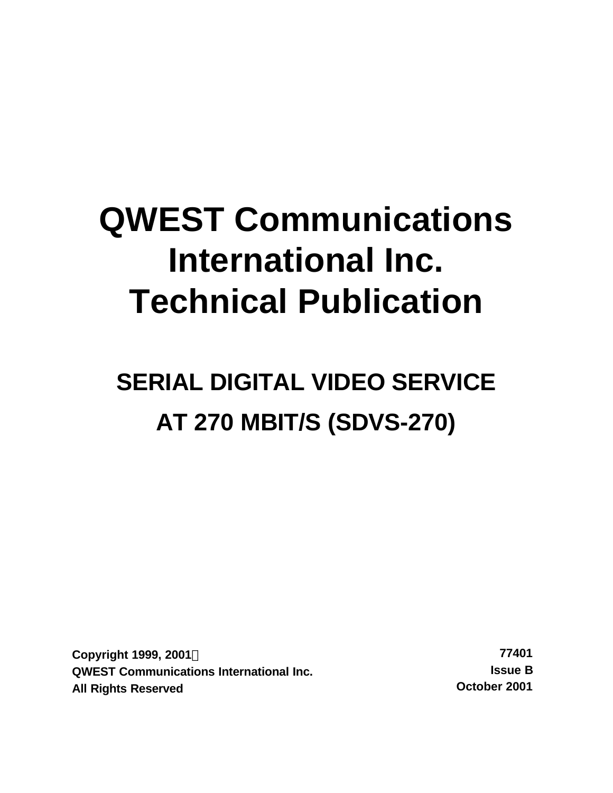# **QWEST Communications International Inc. Technical Publication**

# **SERIAL DIGITAL VIDEO SERVICE AT 270 MBIT/S (SDVS-270)**

**Copyright 1999, 2001Ó 77401 QWEST Communications International Inc. Issue B All Rights Reserved October 2001**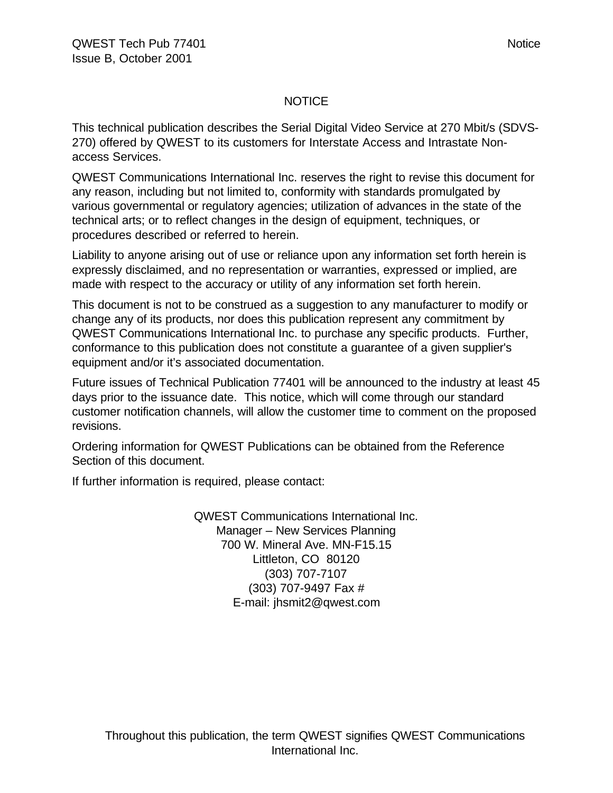#### NOTICE

This technical publication describes the Serial Digital Video Service at 270 Mbit/s (SDVS-270) offered by QWEST to its customers for Interstate Access and Intrastate Nonaccess Services.

QWEST Communications International Inc. reserves the right to revise this document for any reason, including but not limited to, conformity with standards promulgated by various governmental or regulatory agencies; utilization of advances in the state of the technical arts; or to reflect changes in the design of equipment, techniques, or procedures described or referred to herein.

Liability to anyone arising out of use or reliance upon any information set forth herein is expressly disclaimed, and no representation or warranties, expressed or implied, are made with respect to the accuracy or utility of any information set forth herein.

This document is not to be construed as a suggestion to any manufacturer to modify or change any of its products, nor does this publication represent any commitment by QWEST Communications International Inc. to purchase any specific products. Further, conformance to this publication does not constitute a guarantee of a given supplier's equipment and/or it's associated documentation.

Future issues of Technical Publication 77401 will be announced to the industry at least 45 days prior to the issuance date. This notice, which will come through our standard customer notification channels, will allow the customer time to comment on the proposed revisions.

Ordering information for QWEST Publications can be obtained from the Reference Section of this document.

If further information is required, please contact:

QWEST Communications International Inc. Manager – New Services Planning 700 W. Mineral Ave. MN-F15.15 Littleton, CO 80120 (303) 707-7107 (303) 707-9497 Fax # E-mail: jhsmit2@qwest.com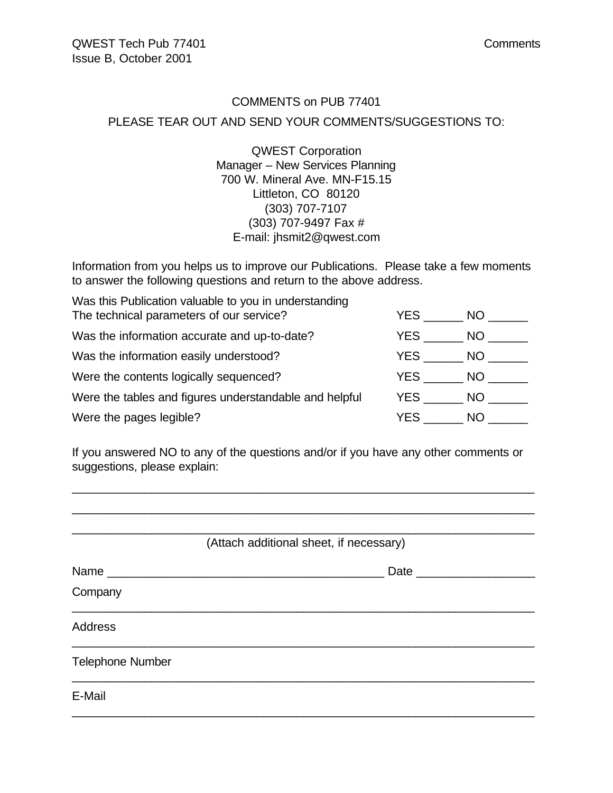#### COMMENTS on PUB 77401

#### PLEASE TEAR OUT AND SEND YOUR COMMENTS/SUGGESTIONS TO:

QWEST Corporation Manager – New Services Planning 700 W. Mineral Ave. MN-F15.15 Littleton, CO 80120 (303) 707-7107 (303) 707-9497 Fax # E-mail: jhsmit2@qwest.com

Information from you helps us to improve our Publications. Please take a few moments to answer the following questions and return to the above address.

| Was this Publication valuable to you in understanding  |            |     |
|--------------------------------------------------------|------------|-----|
| The technical parameters of our service?               | YES.       | NO. |
| Was the information accurate and up-to-date?           | YES.       | NO. |
| Was the information easily understood?                 | YES        | NO. |
| Were the contents logically sequenced?                 | YES        | NO. |
| Were the tables and figures understandable and helpful | <b>YES</b> | NO. |
| Were the pages legible?                                | YES.       | NO. |

If you answered NO to any of the questions and/or if you have any other comments or suggestions, please explain:

| (Attach additional sheet, if necessary) |  |
|-----------------------------------------|--|
| Date _________                          |  |
| Company                                 |  |
| <b>Address</b>                          |  |
| <b>Telephone Number</b>                 |  |
| E-Mail                                  |  |
|                                         |  |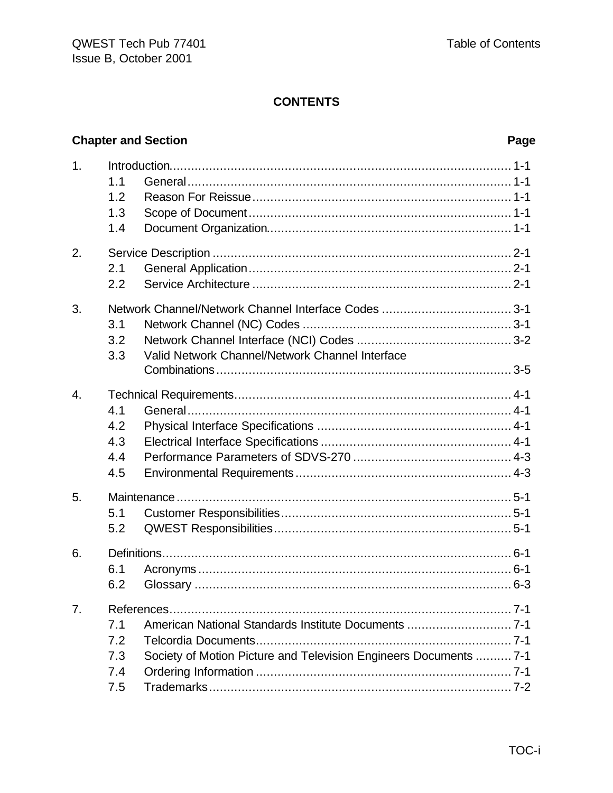# **Chapter and Section**

## Page

| 1.               | 1.1<br>1.2<br>1.3<br>1.4                                                                                                                                     |
|------------------|--------------------------------------------------------------------------------------------------------------------------------------------------------------|
| 2.               | 2.1<br>2.2                                                                                                                                                   |
| 3.               | 3.1<br>3.2<br>Valid Network Channel/Network Channel Interface<br>3.3                                                                                         |
| $\overline{4}$ . | 4.1<br>4.2<br>4.3<br>4.4<br>4.5                                                                                                                              |
| 5.               | 5.1<br>5.2                                                                                                                                                   |
| 6.               | 6.1<br>6.2                                                                                                                                                   |
| 7.               | American National Standards Institute Documents  7-1<br>7.1<br>7.2<br>Society of Motion Picture and Television Engineers Documents  7-1<br>7.3<br>7.4<br>7.5 |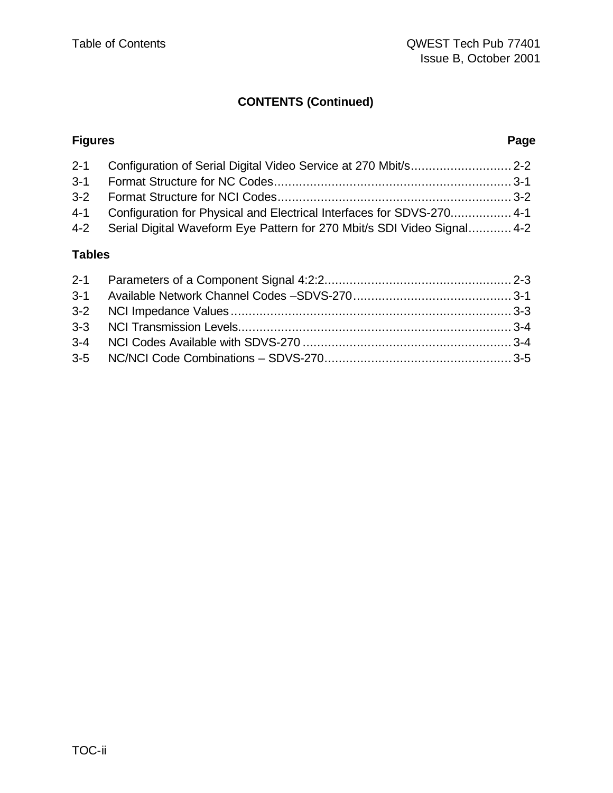# **CONTENTS (Continued)**

#### **Figures Page**

| 4-1 Configuration for Physical and Electrical Interfaces for SDVS-270 4-1   |  |
|-----------------------------------------------------------------------------|--|
| 4-2 Serial Digital Waveform Eye Pattern for 270 Mbit/s SDI Video Signal 4-2 |  |

### **Tables**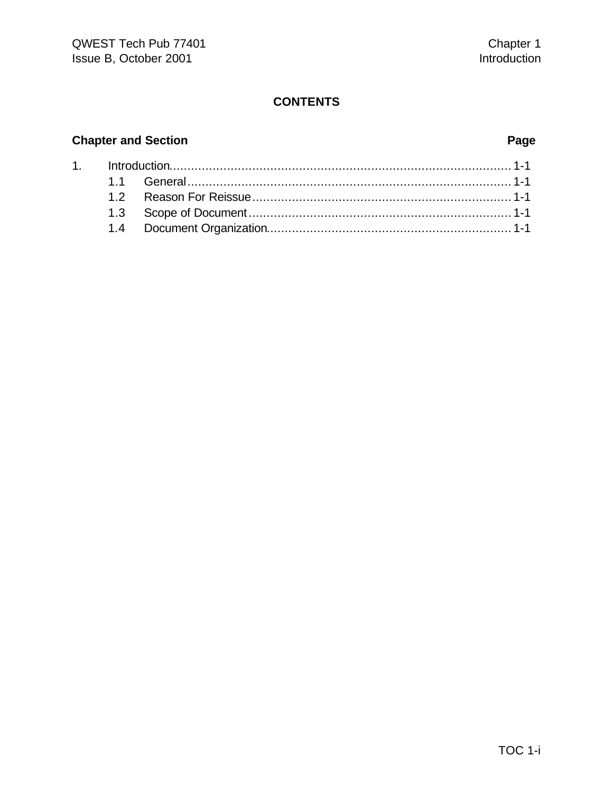# **Chapter and Section Page**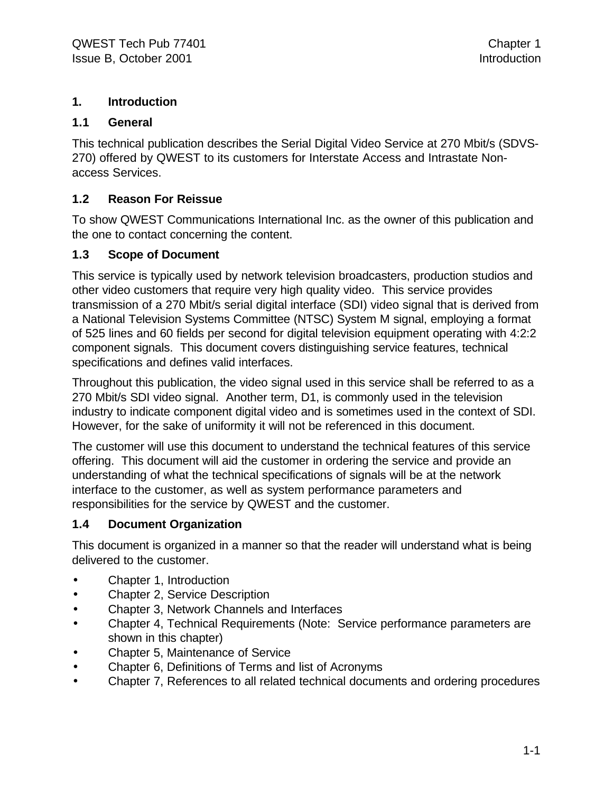#### **1. Introduction**

#### **1.1 General**

This technical publication describes the Serial Digital Video Service at 270 Mbit/s (SDVS-270) offered by QWEST to its customers for Interstate Access and Intrastate Nonaccess Services.

#### **1.2 Reason For Reissue**

To show QWEST Communications International Inc. as the owner of this publication and the one to contact concerning the content.

#### **1.3 Scope of Document**

This service is typically used by network television broadcasters, production studios and other video customers that require very high quality video. This service provides transmission of a 270 Mbit/s serial digital interface (SDI) video signal that is derived from a National Television Systems Committee (NTSC) System M signal, employing a format of 525 lines and 60 fields per second for digital television equipment operating with 4:2:2 component signals. This document covers distinguishing service features, technical specifications and defines valid interfaces.

Throughout this publication, the video signal used in this service shall be referred to as a 270 Mbit/s SDI video signal. Another term, D1, is commonly used in the television industry to indicate component digital video and is sometimes used in the context of SDI. However, for the sake of uniformity it will not be referenced in this document.

The customer will use this document to understand the technical features of this service offering. This document will aid the customer in ordering the service and provide an understanding of what the technical specifications of signals will be at the network interface to the customer, as well as system performance parameters and responsibilities for the service by QWEST and the customer.

#### **1.4 Document Organization**

This document is organized in a manner so that the reader will understand what is being delivered to the customer.

- Chapter 1, Introduction
- Chapter 2, Service Description
- Chapter 3, Network Channels and Interfaces
- Chapter 4, Technical Requirements (Note: Service performance parameters are shown in this chapter)
- Chapter 5, Maintenance of Service
- Chapter 6, Definitions of Terms and list of Acronyms
- Chapter 7, References to all related technical documents and ordering procedures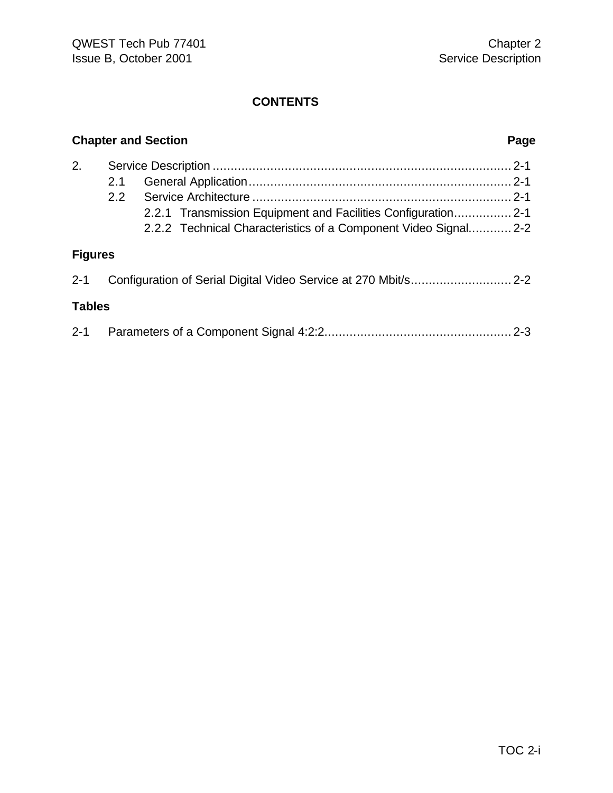|                |            | <b>Chapter and Section</b>                                                                                                       | Page |
|----------------|------------|----------------------------------------------------------------------------------------------------------------------------------|------|
| 2.             | 2.1<br>2.2 | 2.2.1 Transmission Equipment and Facilities Configuration 2-1<br>2.2.2 Technical Characteristics of a Component Video Signal 2-2 |      |
| <b>Figures</b> |            |                                                                                                                                  |      |
| $2 - 1$        |            |                                                                                                                                  |      |
| <b>Tables</b>  |            |                                                                                                                                  |      |
|                |            |                                                                                                                                  |      |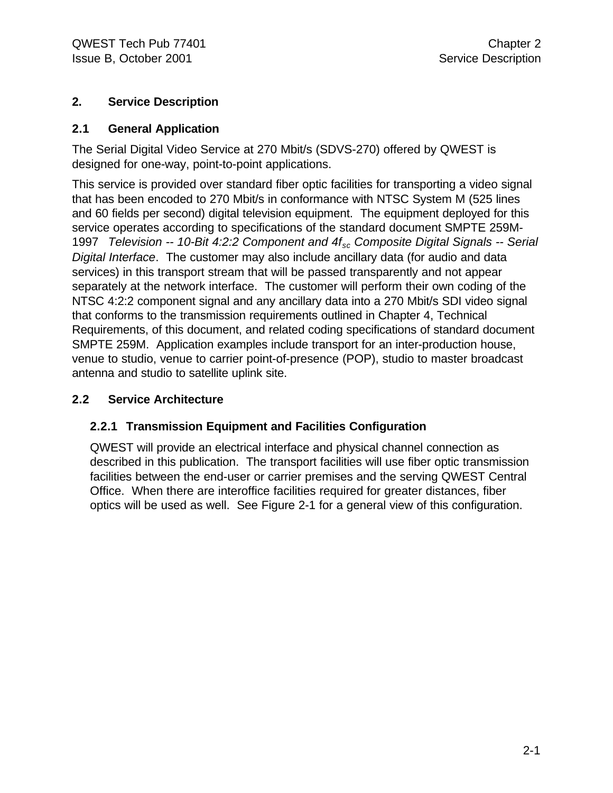#### **2. Service Description**

#### **2.1 General Application**

The Serial Digital Video Service at 270 Mbit/s (SDVS-270) offered by QWEST is designed for one-way, point-to-point applications.

This service is provided over standard fiber optic facilities for transporting a video signal that has been encoded to 270 Mbit/s in conformance with NTSC System M (525 lines and 60 fields per second) digital television equipment. The equipment deployed for this service operates according to specifications of the standard document SMPTE 259M-1997 *Television -- 10-Bit 4:2:2 Component and 4fsc Composite Digital Signals -- Serial Digital Interface*. The customer may also include ancillary data (for audio and data services) in this transport stream that will be passed transparently and not appear separately at the network interface. The customer will perform their own coding of the NTSC 4:2:2 component signal and any ancillary data into a 270 Mbit/s SDI video signal that conforms to the transmission requirements outlined in Chapter 4, Technical Requirements, of this document, and related coding specifications of standard document SMPTE 259M. Application examples include transport for an inter-production house, venue to studio, venue to carrier point-of-presence (POP), studio to master broadcast antenna and studio to satellite uplink site.

#### **2.2 Service Architecture**

#### **2.2.1 Transmission Equipment and Facilities Configuration**

QWEST will provide an electrical interface and physical channel connection as described in this publication. The transport facilities will use fiber optic transmission facilities between the end-user or carrier premises and the serving QWEST Central Office. When there are interoffice facilities required for greater distances, fiber optics will be used as well. See Figure 2-1 for a general view of this configuration.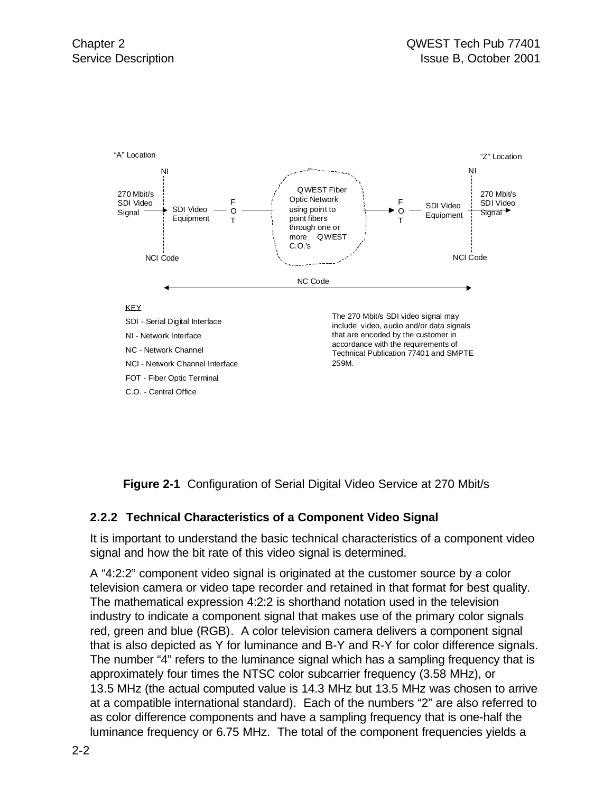

**Figure 2-1** Configuration of Serial Digital Video Service at 270 Mbit/s

#### **2.2.2 Technical Characteristics of a Component Video Signal**

It is important to understand the basic technical characteristics of a component video signal and how the bit rate of this video signal is determined.

A "4:2:2" component video signal is originated at the customer source by a color television camera or video tape recorder and retained in that format for best quality. The mathematical expression 4:2:2 is shorthand notation used in the television industry to indicate a component signal that makes use of the primary color signals red, green and blue (RGB). A color television camera delivers a component signal that is also depicted as Y for luminance and B-Y and R-Y for color difference signals. The number "4" refers to the luminance signal which has a sampling frequency that is approximately four times the NTSC color subcarrier frequency (3.58 MHz), or 13.5 MHz (the actual computed value is 14.3 MHz but 13.5 MHz was chosen to arrive at a compatible international standard). Each of the numbers "2" are also referred to as color difference components and have a sampling frequency that is one-half the luminance frequency or 6.75 MHz. The total of the component frequencies yields a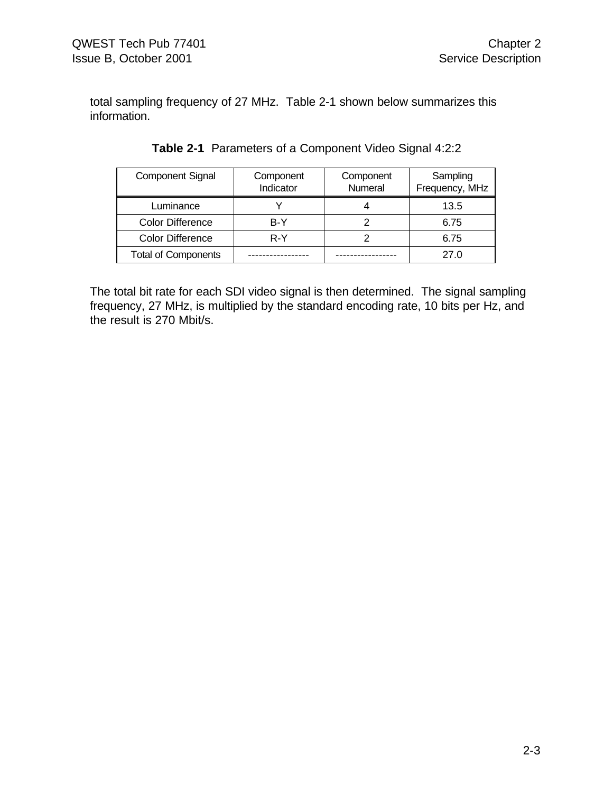total sampling frequency of 27 MHz. Table 2-1 shown below summarizes this information.

| <b>Component Signal</b>    | Component<br>Indicator | Component<br>Numeral | Sampling<br>Frequency, MHz |
|----------------------------|------------------------|----------------------|----------------------------|
| Luminance                  |                        |                      | 13.5                       |
| <b>Color Difference</b>    | B-Y                    |                      | 6.75                       |
| <b>Color Difference</b>    | R-Y                    |                      | 6.75                       |
| <b>Total of Components</b> |                        |                      | 27.0                       |

|  | Table 2-1 Parameters of a Component Video Signal 4:2:2 |  |
|--|--------------------------------------------------------|--|
|  |                                                        |  |

The total bit rate for each SDI video signal is then determined. The signal sampling frequency, 27 MHz, is multiplied by the standard encoding rate, 10 bits per Hz, and the result is 270 Mbit/s.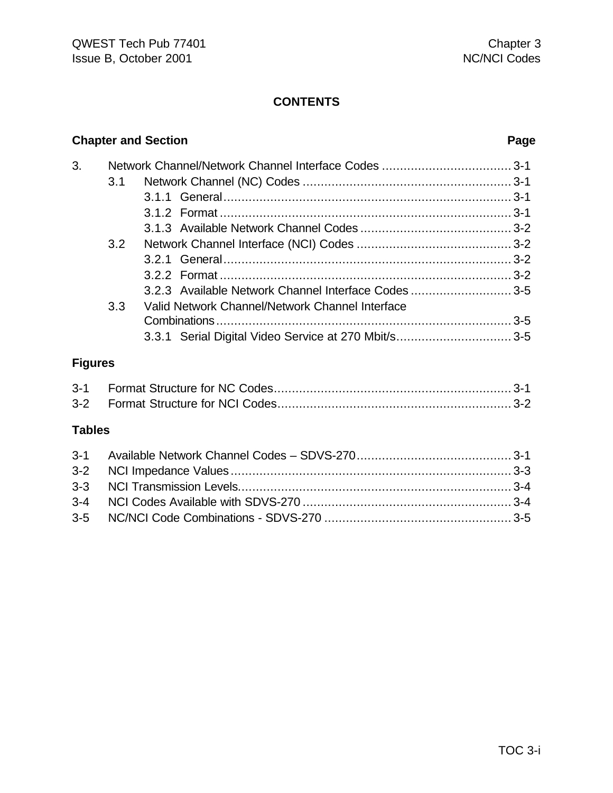|                |     | <b>Chapter and Section</b>                           | Page |
|----------------|-----|------------------------------------------------------|------|
| 3.             |     |                                                      |      |
|                | 3.1 |                                                      |      |
|                |     |                                                      |      |
|                |     |                                                      |      |
|                |     |                                                      |      |
|                | 3.2 |                                                      |      |
|                |     |                                                      |      |
|                |     |                                                      |      |
|                |     | 3.2.3 Available Network Channel Interface Codes 3-5  |      |
|                | 3.3 | Valid Network Channel/Network Channel Interface      |      |
|                |     |                                                      |      |
|                |     | 3.3.1 Serial Digital Video Service at 270 Mbit/s 3-5 |      |
| <b>Figures</b> |     |                                                      |      |
| $3 - 1$        |     |                                                      |      |
| $3 - 2$        |     |                                                      |      |
| <b>Tables</b>  |     |                                                      |      |
| $3 - 1$        |     |                                                      |      |
| $3 - 2$        |     |                                                      |      |
| $3 - 3$        |     |                                                      |      |
| $3 - 4$        |     |                                                      |      |
| $3-5$          |     |                                                      |      |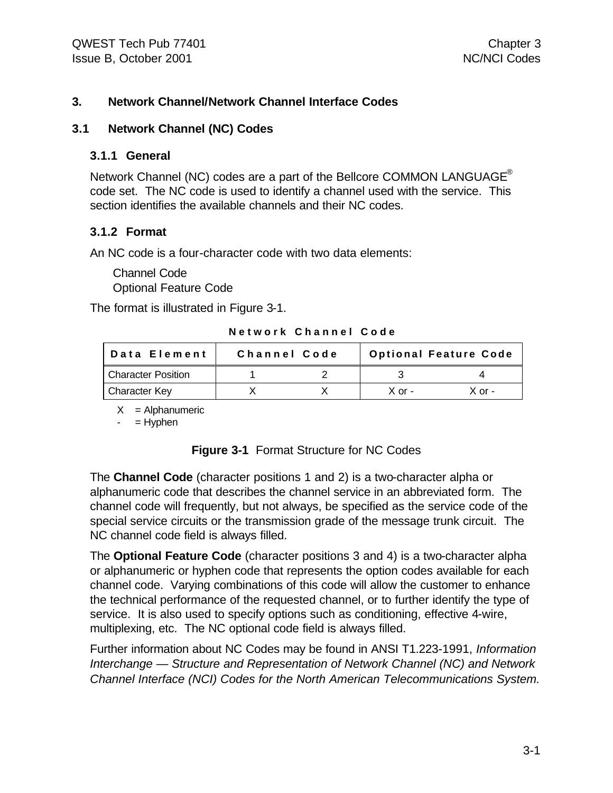#### **3. Network Channel/Network Channel Interface Codes**

#### **3.1 Network Channel (NC) Codes**

#### **3.1.1 General**

Network Channel (NC) codes are a part of the Bellcore COMMON LANGUAGE<sup>®</sup> code set. The NC code is used to identify a channel used with the service. This section identifies the available channels and their NC codes.

#### **3.1.2 Format**

An NC code is a four-character code with two data elements:

Channel Code Optional Feature Code

The format is illustrated in Figure 3-1.

**Network Channel Code**

| Data Element              | Channel Code | <b>Optional Feature Code</b> |          |
|---------------------------|--------------|------------------------------|----------|
| <b>Character Position</b> |              |                              |          |
| Character Key             |              | $X$ or -                     | $X$ or - |

 $X =$  Alphanumeric

 $-$  = Hyphen

#### **Figure 3-1** Format Structure for NC Codes

The **Channel Code** (character positions 1 and 2) is a two-character alpha or alphanumeric code that describes the channel service in an abbreviated form. The channel code will frequently, but not always, be specified as the service code of the special service circuits or the transmission grade of the message trunk circuit. The NC channel code field is always filled.

The **Optional Feature Code** (character positions 3 and 4) is a two-character alpha or alphanumeric or hyphen code that represents the option codes available for each channel code. Varying combinations of this code will allow the customer to enhance the technical performance of the requested channel, or to further identify the type of service. It is also used to specify options such as conditioning, effective 4-wire, multiplexing, etc. The NC optional code field is always filled.

Further information about NC Codes may be found in ANSI T1.223-1991, *Information Interchange — Structure and Representation of Network Channel (NC) and Network Channel Interface (NCI) Codes for the North American Telecommunications System.*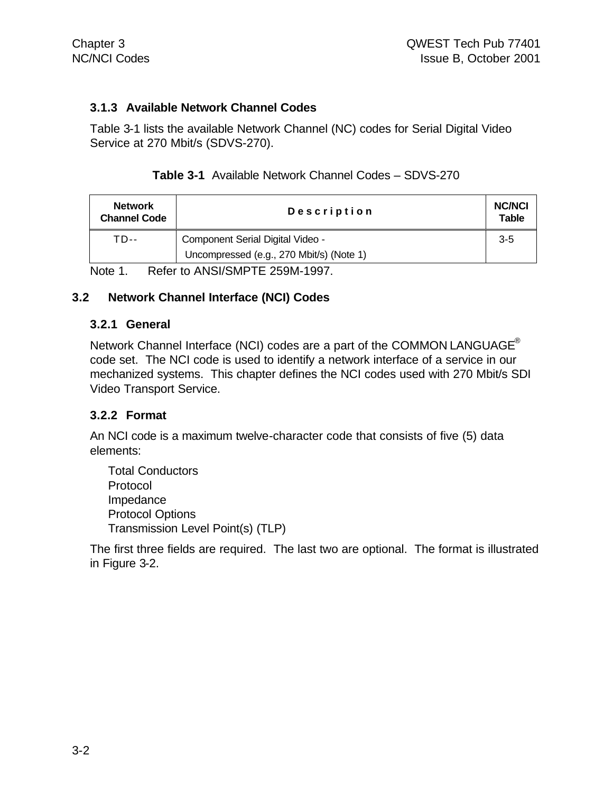#### **3.1.3 Available Network Channel Codes**

Table 3-1 lists the available Network Channel (NC) codes for Serial Digital Video Service at 270 Mbit/s (SDVS-270).

| <b>Network</b><br><b>Channel Code</b> | Description                              |       | <b>NC/NCI</b><br><b>Table</b> |  |
|---------------------------------------|------------------------------------------|-------|-------------------------------|--|
| TD--                                  | Component Serial Digital Video -         | $3-5$ |                               |  |
|                                       | Uncompressed (e.g., 270 Mbit/s) (Note 1) |       |                               |  |
|                                       |                                          |       |                               |  |

Note 1. Refer to ANSI/SMPTE 259M-1997.

#### **3.2 Network Channel Interface (NCI) Codes**

#### **3.2.1 General**

Network Channel Interface (NCI) codes are a part of the COMMON LANGUAGE<sup>®</sup> code set. The NCI code is used to identify a network interface of a service in our mechanized systems. This chapter defines the NCI codes used with 270 Mbit/s SDI Video Transport Service.

#### **3.2.2 Format**

An NCI code is a maximum twelve-character code that consists of five (5) data elements:

Total Conductors Protocol Impedance Protocol Options Transmission Level Point(s) (TLP)

The first three fields are required. The last two are optional. The format is illustrated in Figure 3-2.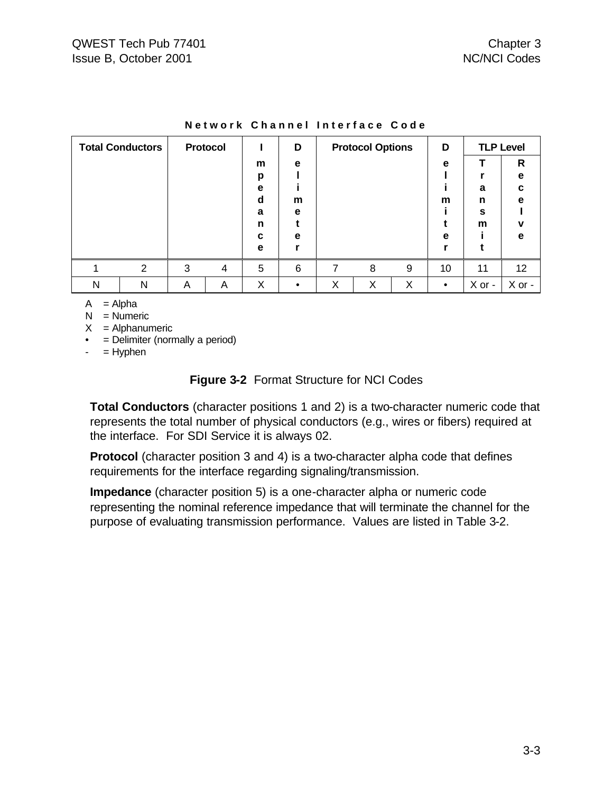| <b>Total Conductors</b> |                | Protocol |   |   | D |   | <b>Protocol Options</b> |   | D         |        | <b>TLP Level</b> |
|-------------------------|----------------|----------|---|---|---|---|-------------------------|---|-----------|--------|------------------|
|                         |                |          |   | m | е |   |                         |   | е         |        | R                |
|                         |                |          |   | р |   |   |                         |   |           |        | е                |
|                         |                |          |   | е |   |   |                         |   |           | a      | c                |
|                         |                |          |   | d | m |   |                         |   | m         | n      | е                |
|                         |                |          |   | a | е |   |                         |   |           | S      |                  |
|                         |                |          |   | n |   |   |                         |   |           | m      | v                |
|                         |                |          |   | c | е |   |                         |   | е         |        | е                |
|                         |                |          |   | е |   |   |                         |   |           |        |                  |
|                         | $\overline{2}$ | 3        | 4 | 5 | 6 | 7 | 8                       | 9 | 10        | 11     | 12               |
| N                       | N              | A        | A | Χ |   | X | X                       | X | $\bullet$ | X or - | X or -           |

#### **Network Channel Interface Code**

 $A = Alpha$ 

 $N =$  Numeric

 $X =$  Alphanumeric

• = Delimiter (normally a period)

 $-$  = Hyphen

#### **Figure 3-2** Format Structure for NCI Codes

**Total Conductors** (character positions 1 and 2) is a two-character numeric code that represents the total number of physical conductors (e.g., wires or fibers) required at the interface. For SDI Service it is always 02.

**Protocol** (character position 3 and 4) is a two-character alpha code that defines requirements for the interface regarding signaling/transmission.

**Impedance** (character position 5) is a one-character alpha or numeric code representing the nominal reference impedance that will terminate the channel for the purpose of evaluating transmission performance. Values are listed in Table 3-2.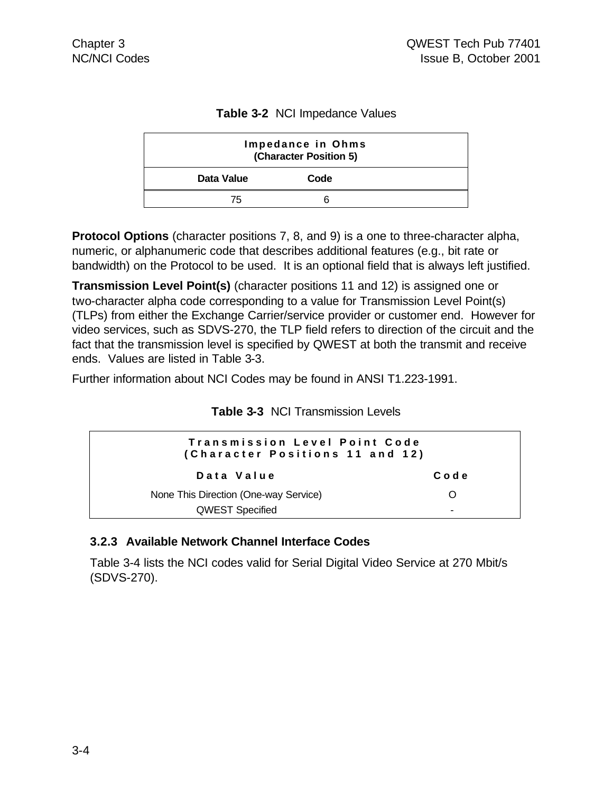|  |  | Table 3-2 NCI Impedance Values |  |
|--|--|--------------------------------|--|
|--|--|--------------------------------|--|

| Impedance in Ohms<br>(Character Position 5) |      |  |  |  |
|---------------------------------------------|------|--|--|--|
| Data Value                                  | Code |  |  |  |
| 75                                          |      |  |  |  |

**Protocol Options** (character positions 7, 8, and 9) is a one to three-character alpha, numeric, or alphanumeric code that describes additional features (e.g., bit rate or bandwidth) on the Protocol to be used. It is an optional field that is always left justified.

**Transmission Level Point(s)** (character positions 11 and 12) is assigned one or two-character alpha code corresponding to a value for Transmission Level Point(s) (TLPs) from either the Exchange Carrier/service provider or customer end. However for video services, such as SDVS-270, the TLP field refers to direction of the circuit and the fact that the transmission level is specified by QWEST at both the transmit and receive ends. Values are listed in Table 3-3.

Further information about NCI Codes may be found in ANSI T1.223-1991.

| <b>Table 3-3 NCI Transmission Levels</b> |  |
|------------------------------------------|--|
|------------------------------------------|--|

| Transmission Level Point Code<br>(Character Positions 11 and 12) |                          |  |  |  |
|------------------------------------------------------------------|--------------------------|--|--|--|
| Data Value                                                       | Code                     |  |  |  |
| None This Direction (One-way Service)                            | ∩                        |  |  |  |
| <b>QWEST Specified</b>                                           | $\overline{\phantom{0}}$ |  |  |  |

#### **3.2.3 Available Network Channel Interface Codes**

Table 3-4 lists the NCI codes valid for Serial Digital Video Service at 270 Mbit/s (SDVS-270).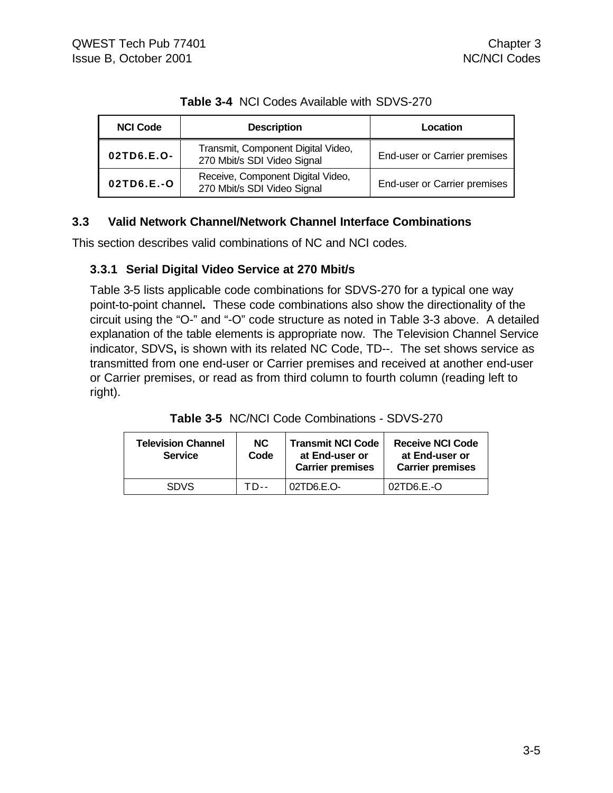| <b>NCI Code</b> | <b>Description</b>                                                | Location                     |
|-----------------|-------------------------------------------------------------------|------------------------------|
| 02TD6.E.O-      | Transmit, Component Digital Video,<br>270 Mbit/s SDI Video Signal | End-user or Carrier premises |
| 02TD6.E.-O      | Receive, Component Digital Video,<br>270 Mbit/s SDI Video Signal  | End-user or Carrier premises |

**Table 3-4** NCI Codes Available with SDVS-270

#### **3.3 Valid Network Channel/Network Channel Interface Combinations**

This section describes valid combinations of NC and NCI codes.

#### **3.3.1 Serial Digital Video Service at 270 Mbit/s**

Table 3-5 lists applicable code combinations for SDVS-270 for a typical one way point-to-point channel**.** These code combinations also show the directionality of the circuit using the "O-" and "-O" code structure as noted in Table 3-3 above. A detailed explanation of the table elements is appropriate now. The Television Channel Service indicator, SDVS**,** is shown with its related NC Code, TD--. The set shows service as transmitted from one end-user or Carrier premises and received at another end-user or Carrier premises, or read as from third column to fourth column (reading left to right).

| <b>Television Channel</b><br><b>Service</b> | NC.<br>Code | <b>Transmit NCI Code</b><br>at End-user or<br><b>Carrier premises</b> | <b>Receive NCI Code</b><br>at End-user or<br><b>Carrier premises</b> |
|---------------------------------------------|-------------|-----------------------------------------------------------------------|----------------------------------------------------------------------|
| <b>SDVS</b>                                 | TD--        | 02TD6E.                                                               | 02TD6.E.-O                                                           |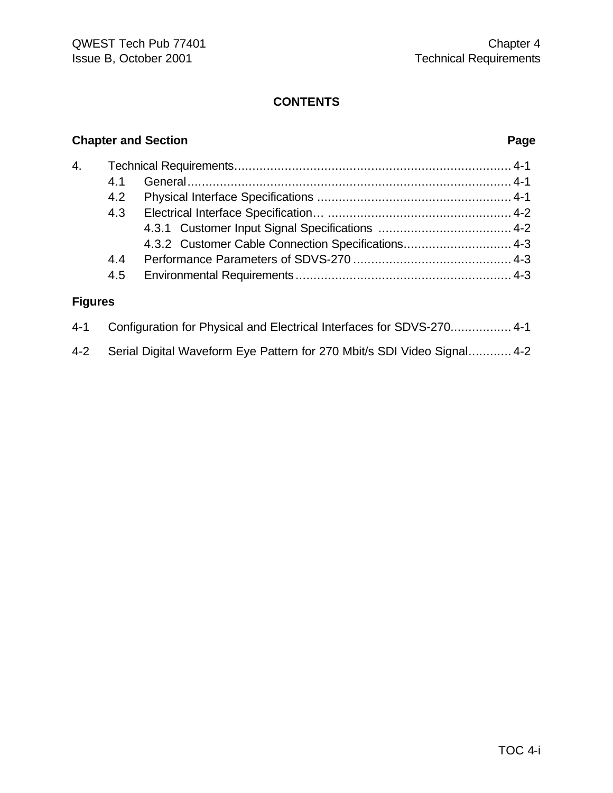### **Chapter and Section Page**

| 4. |     |                                                    |  |
|----|-----|----------------------------------------------------|--|
|    | 41  |                                                    |  |
|    | 4.2 |                                                    |  |
|    | 4.3 |                                                    |  |
|    |     |                                                    |  |
|    |     | 4.3.2 Customer Cable Connection Specifications 4-3 |  |
|    | 4.4 |                                                    |  |
|    | 4.5 |                                                    |  |
|    |     |                                                    |  |

### **Figures**

| 4-1 Configuration for Physical and Electrical Interfaces for SDVS-270 4-1   |
|-----------------------------------------------------------------------------|
| 4-2 Serial Digital Waveform Eye Pattern for 270 Mbit/s SDI Video Signal 4-2 |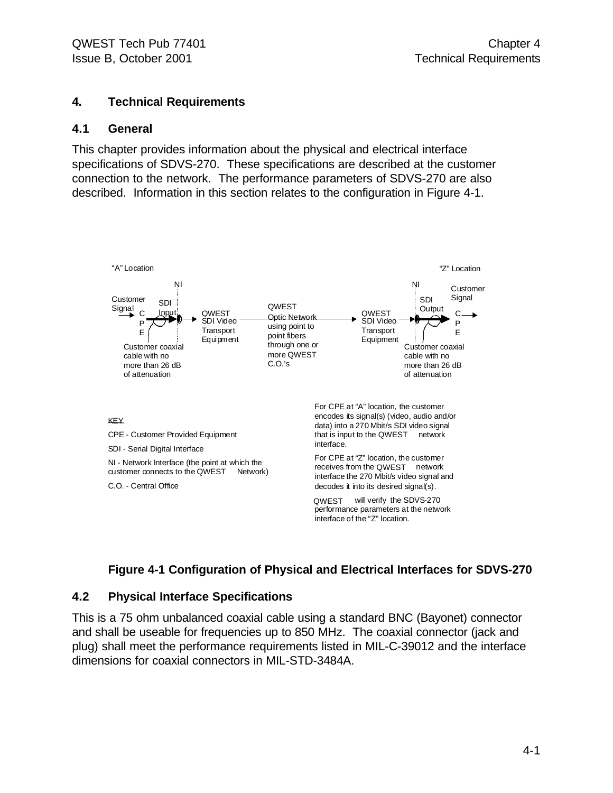#### **4. Technical Requirements**

#### **4.1 General**

This chapter provides information about the physical and electrical interface specifications of SDVS-270. These specifications are described at the customer connection to the network. The performance parameters of SDVS-270 are also described. Information in this section relates to the configuration in Figure 4-1.



#### **Figure 4-1 Configuration of Physical and Electrical Interfaces for SDVS-270**

#### **4.2 Physical Interface Specifications**

This is a 75 ohm unbalanced coaxial cable using a standard BNC (Bayonet) connector and shall be useable for frequencies up to 850 MHz. The coaxial connector (jack and plug) shall meet the performance requirements listed in MIL-C-39012 and the interface dimensions for coaxial connectors in MIL-STD-3484A.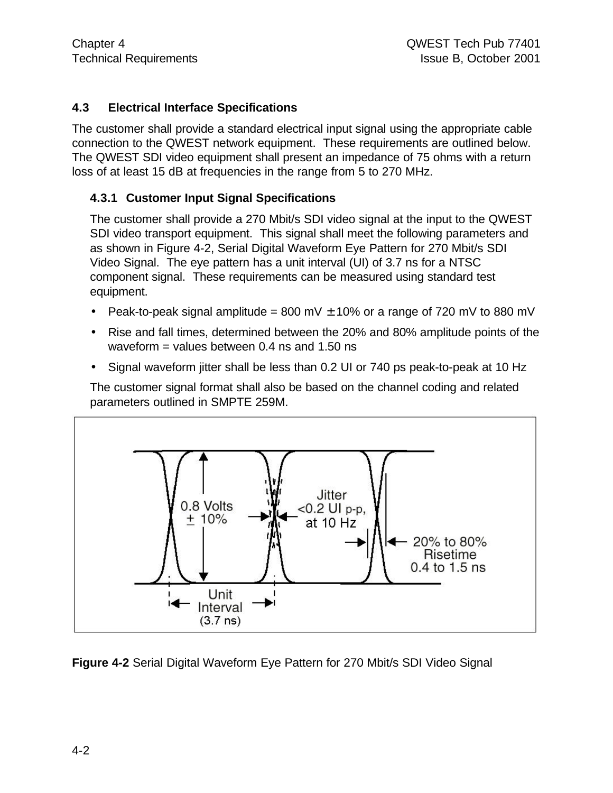#### **4.3 Electrical Interface Specifications**

The customer shall provide a standard electrical input signal using the appropriate cable connection to the QWEST network equipment. These requirements are outlined below. The QWEST SDI video equipment shall present an impedance of 75 ohms with a return loss of at least 15 dB at frequencies in the range from 5 to 270 MHz.

#### **4.3.1 Customer Input Signal Specifications**

The customer shall provide a 270 Mbit/s SDI video signal at the input to the QWEST SDI video transport equipment. This signal shall meet the following parameters and as shown in Figure 4-2, Serial Digital Waveform Eye Pattern for 270 Mbit/s SDI Video Signal. The eye pattern has a unit interval (UI) of 3.7 ns for a NTSC component signal. These requirements can be measured using standard test equipment.

- Peak-to-peak signal amplitude = 800 mV  $\pm$  10% or a range of 720 mV to 880 mV
- Rise and fall times, determined between the 20% and 80% amplitude points of the waveform = values between  $0.4$  ns and  $1.50$  ns
- Signal waveform jitter shall be less than 0.2 UI or 740 ps peak-to-peak at 10 Hz

The customer signal format shall also be based on the channel coding and related parameters outlined in SMPTE 259M.



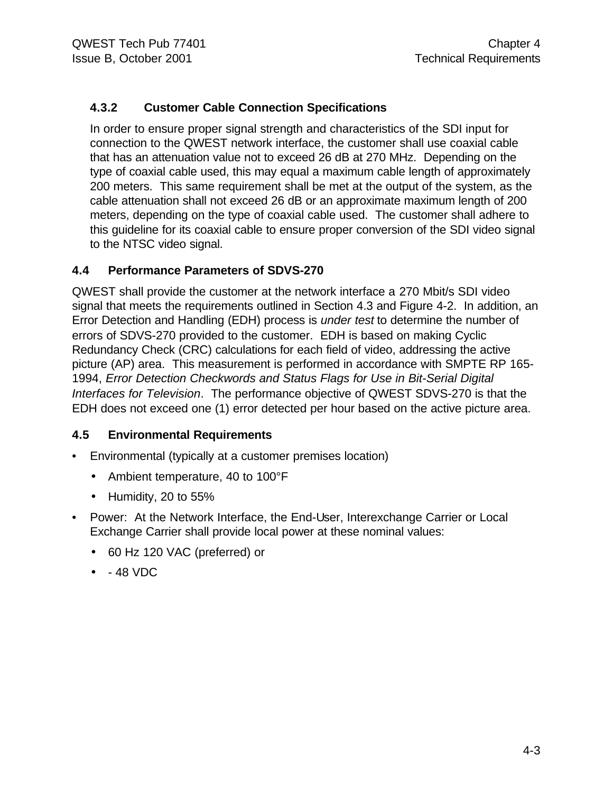#### **4.3.2 Customer Cable Connection Specifications**

In order to ensure proper signal strength and characteristics of the SDI input for connection to the QWEST network interface, the customer shall use coaxial cable that has an attenuation value not to exceed 26 dB at 270 MHz. Depending on the type of coaxial cable used, this may equal a maximum cable length of approximately 200 meters. This same requirement shall be met at the output of the system, as the cable attenuation shall not exceed 26 dB or an approximate maximum length of 200 meters, depending on the type of coaxial cable used. The customer shall adhere to this guideline for its coaxial cable to ensure proper conversion of the SDI video signal to the NTSC video signal.

#### **4.4 Performance Parameters of SDVS-270**

QWEST shall provide the customer at the network interface a 270 Mbit/s SDI video signal that meets the requirements outlined in Section 4.3 and Figure 4-2. In addition, an Error Detection and Handling (EDH) process is *under test* to determine the number of errors of SDVS-270 provided to the customer. EDH is based on making Cyclic Redundancy Check (CRC) calculations for each field of video, addressing the active picture (AP) area. This measurement is performed in accordance with SMPTE RP 165- 1994, *Error Detection Checkwords and Status Flags for Use in Bit-Serial Digital Interfaces for Television*. The performance objective of QWEST SDVS-270 is that the EDH does not exceed one (1) error detected per hour based on the active picture area.

#### **4.5 Environmental Requirements**

- Environmental (typically at a customer premises location)
	- Ambient temperature, 40 to 100°F
	- Humidity, 20 to 55%
- Power: At the Network Interface, the End-User, Interexchange Carrier or Local Exchange Carrier shall provide local power at these nominal values:
	- 60 Hz 120 VAC (preferred) or
	- - 48 VDC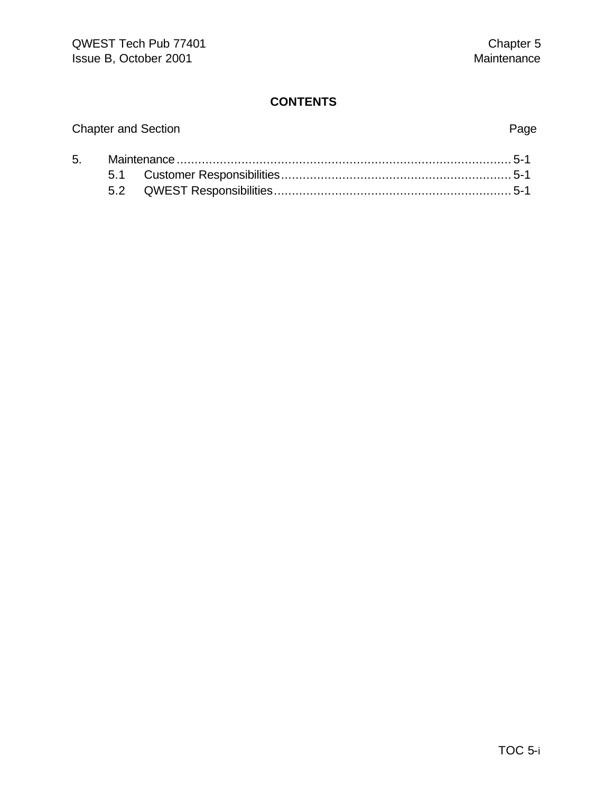# Chapter and Section **Page** 5. Maintenance............................................................................................. 5-1 5.1 Customer Responsibilities................................................................ 5-1

| ____ |  |
|------|--|
| 5.2  |  |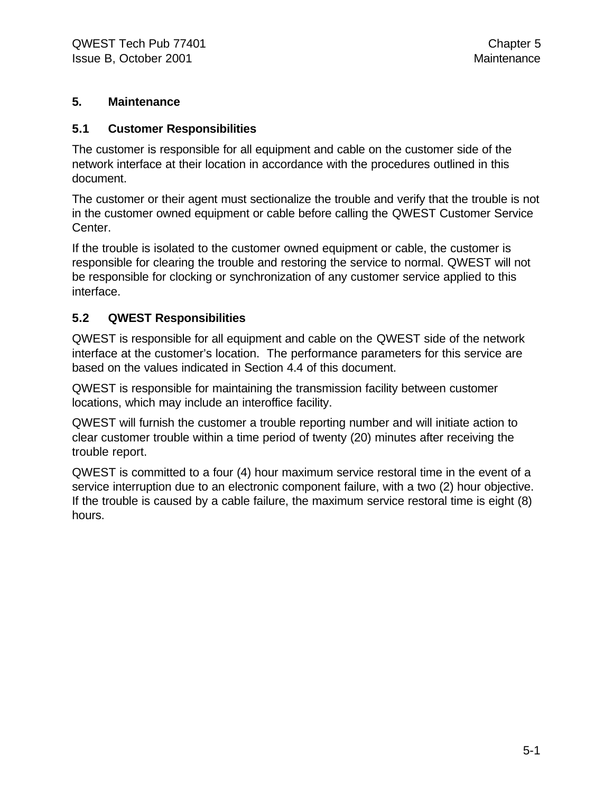#### **5. Maintenance**

#### **5.1 Customer Responsibilities**

The customer is responsible for all equipment and cable on the customer side of the network interface at their location in accordance with the procedures outlined in this document.

The customer or their agent must sectionalize the trouble and verify that the trouble is not in the customer owned equipment or cable before calling the QWEST Customer Service Center.

If the trouble is isolated to the customer owned equipment or cable, the customer is responsible for clearing the trouble and restoring the service to normal. QWEST will not be responsible for clocking or synchronization of any customer service applied to this interface.

#### **5.2 QWEST Responsibilities**

QWEST is responsible for all equipment and cable on the QWEST side of the network interface at the customer's location. The performance parameters for this service are based on the values indicated in Section 4.4 of this document.

QWEST is responsible for maintaining the transmission facility between customer locations, which may include an interoffice facility.

QWEST will furnish the customer a trouble reporting number and will initiate action to clear customer trouble within a time period of twenty (20) minutes after receiving the trouble report.

QWEST is committed to a four (4) hour maximum service restoral time in the event of a service interruption due to an electronic component failure, with a two (2) hour objective. If the trouble is caused by a cable failure, the maximum service restoral time is eight (8) hours.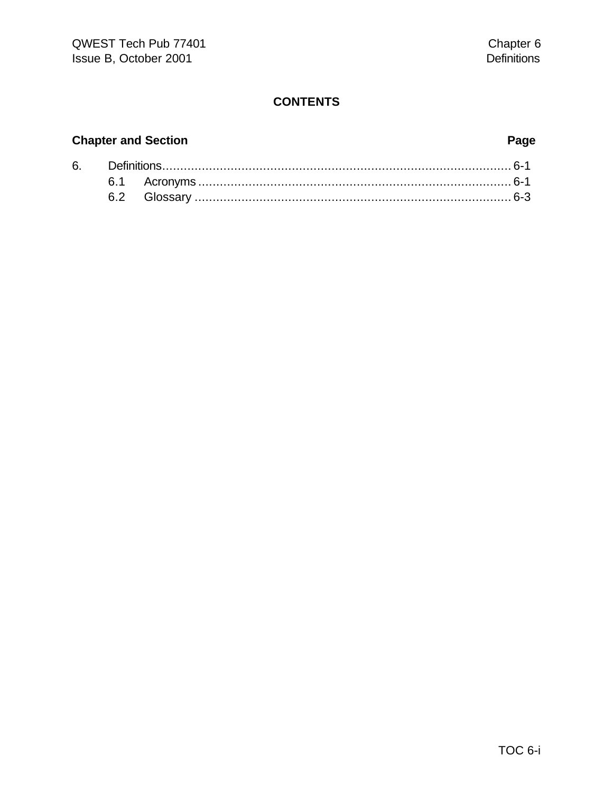# **Chapter and Section Page**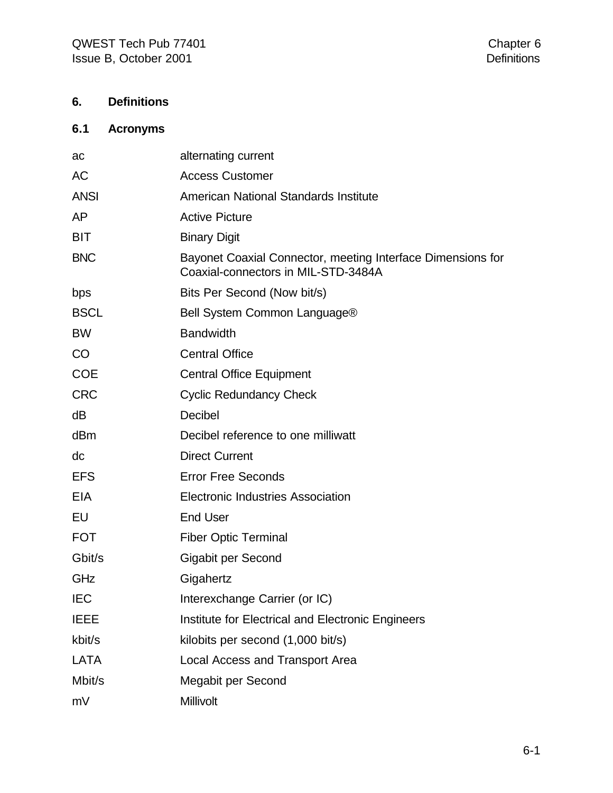### **6. Definitions**

### **6.1 Acronyms**

| ac          | alternating current                                                                                |
|-------------|----------------------------------------------------------------------------------------------------|
| <b>AC</b>   | <b>Access Customer</b>                                                                             |
| <b>ANSI</b> | American National Standards Institute                                                              |
| AP          | <b>Active Picture</b>                                                                              |
| <b>BIT</b>  | <b>Binary Digit</b>                                                                                |
| <b>BNC</b>  | Bayonet Coaxial Connector, meeting Interface Dimensions for<br>Coaxial-connectors in MIL-STD-3484A |
| bps         | Bits Per Second (Now bit/s)                                                                        |
| <b>BSCL</b> | Bell System Common Language®                                                                       |
| <b>BW</b>   | <b>Bandwidth</b>                                                                                   |
| CO          | <b>Central Office</b>                                                                              |
| <b>COE</b>  | <b>Central Office Equipment</b>                                                                    |
| <b>CRC</b>  | <b>Cyclic Redundancy Check</b>                                                                     |
| dB          | Decibel                                                                                            |
| dBm         | Decibel reference to one milliwatt                                                                 |
| dc          | <b>Direct Current</b>                                                                              |
| <b>EFS</b>  | <b>Error Free Seconds</b>                                                                          |
| EIA         | <b>Electronic Industries Association</b>                                                           |
| EU          | <b>End User</b>                                                                                    |
| <b>FOT</b>  | <b>Fiber Optic Terminal</b>                                                                        |
| Gbit/s      | Gigabit per Second                                                                                 |
| GHz         | Gigahertz                                                                                          |
| <b>IEC</b>  | Interexchange Carrier (or IC)                                                                      |
| <b>IEEE</b> | Institute for Electrical and Electronic Engineers                                                  |
| kbit/s      | kilobits per second (1,000 bit/s)                                                                  |
| LATA        | Local Access and Transport Area                                                                    |
| Mbit/s      | Megabit per Second                                                                                 |
| mV          | Millivolt                                                                                          |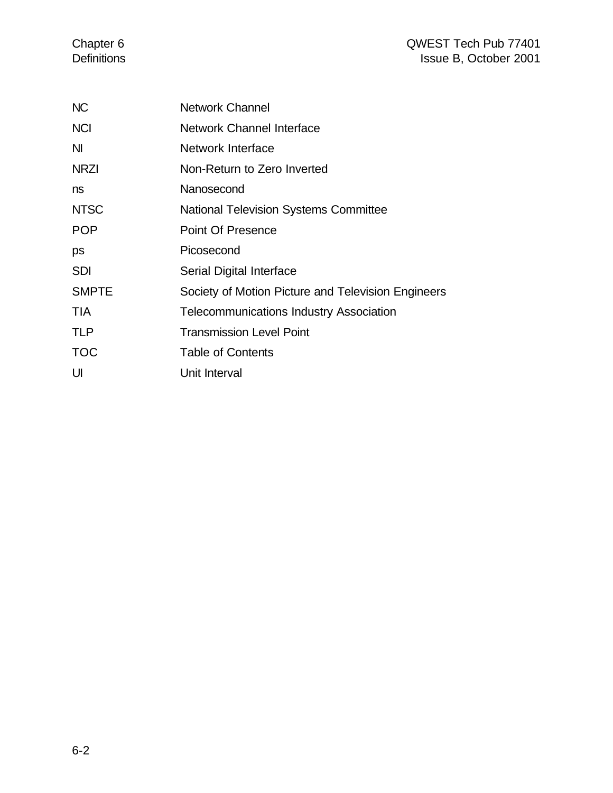| <b>NC</b>      | <b>Network Channel</b>                             |
|----------------|----------------------------------------------------|
| <b>NCI</b>     | Network Channel Interface                          |
| N <sub>l</sub> | Network Interface                                  |
| <b>NRZI</b>    | Non-Return to Zero Inverted                        |
| ns             | Nanosecond                                         |
| <b>NTSC</b>    | <b>National Television Systems Committee</b>       |
| <b>POP</b>     | <b>Point Of Presence</b>                           |
| ps             | Picosecond                                         |
| <b>SDI</b>     | Serial Digital Interface                           |
| <b>SMPTE</b>   | Society of Motion Picture and Television Engineers |
| <b>TIA</b>     | <b>Telecommunications Industry Association</b>     |
| <b>TLP</b>     | <b>Transmission Level Point</b>                    |
| <b>TOC</b>     | <b>Table of Contents</b>                           |
| UI             | Unit Interval                                      |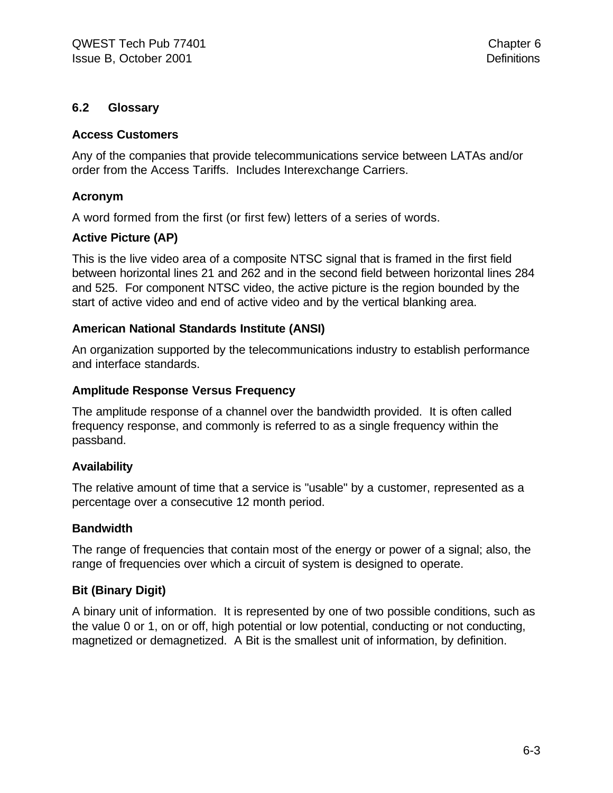#### **6.2 Glossary**

#### **Access Customers**

Any of the companies that provide telecommunications service between LATAs and/or order from the Access Tariffs. Includes Interexchange Carriers.

#### **Acronym**

A word formed from the first (or first few) letters of a series of words.

#### **Active Picture (AP)**

This is the live video area of a composite NTSC signal that is framed in the first field between horizontal lines 21 and 262 and in the second field between horizontal lines 284 and 525. For component NTSC video, the active picture is the region bounded by the start of active video and end of active video and by the vertical blanking area.

#### **American National Standards Institute (ANSI)**

An organization supported by the telecommunications industry to establish performance and interface standards.

#### **Amplitude Response Versus Frequency**

The amplitude response of a channel over the bandwidth provided. It is often called frequency response, and commonly is referred to as a single frequency within the passband.

#### **Availability**

The relative amount of time that a service is "usable" by a customer, represented as a percentage over a consecutive 12 month period.

#### **Bandwidth**

The range of frequencies that contain most of the energy or power of a signal; also, the range of frequencies over which a circuit of system is designed to operate.

#### **Bit (Binary Digit)**

A binary unit of information. It is represented by one of two possible conditions, such as the value 0 or 1, on or off, high potential or low potential, conducting or not conducting, magnetized or demagnetized. A Bit is the smallest unit of information, by definition.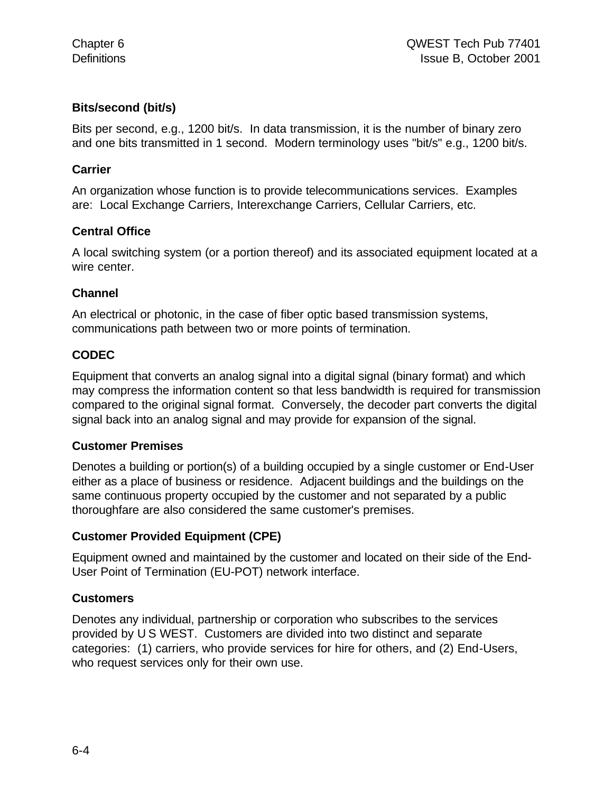#### **Bits/second (bit/s)**

Bits per second, e.g., 1200 bit/s. In data transmission, it is the number of binary zero and one bits transmitted in 1 second. Modern terminology uses "bit/s" e.g., 1200 bit/s.

#### **Carrier**

An organization whose function is to provide telecommunications services. Examples are: Local Exchange Carriers, Interexchange Carriers, Cellular Carriers, etc.

#### **Central Office**

A local switching system (or a portion thereof) and its associated equipment located at a wire center.

#### **Channel**

An electrical or photonic, in the case of fiber optic based transmission systems, communications path between two or more points of termination.

#### **CODEC**

Equipment that converts an analog signal into a digital signal (binary format) and which may compress the information content so that less bandwidth is required for transmission compared to the original signal format. Conversely, the decoder part converts the digital signal back into an analog signal and may provide for expansion of the signal.

#### **Customer Premises**

Denotes a building or portion(s) of a building occupied by a single customer or End-User either as a place of business or residence. Adjacent buildings and the buildings on the same continuous property occupied by the customer and not separated by a public thoroughfare are also considered the same customer's premises.

#### **Customer Provided Equipment (CPE)**

Equipment owned and maintained by the customer and located on their side of the End-User Point of Termination (EU-POT) network interface.

#### **Customers**

Denotes any individual, partnership or corporation who subscribes to the services provided by U S WEST. Customers are divided into two distinct and separate categories: (1) carriers, who provide services for hire for others, and (2) End-Users, who request services only for their own use.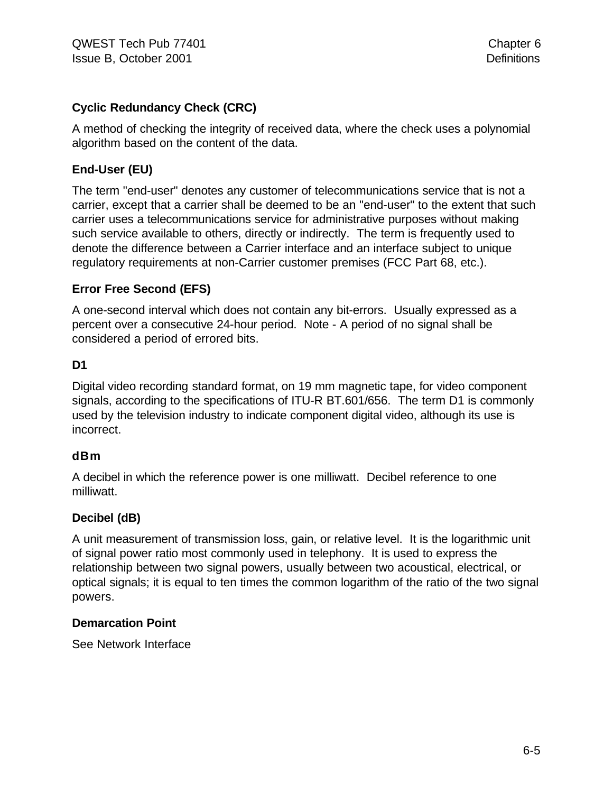#### **Cyclic Redundancy Check (CRC)**

A method of checking the integrity of received data, where the check uses a polynomial algorithm based on the content of the data.

#### **End-User (EU)**

The term "end-user" denotes any customer of telecommunications service that is not a carrier, except that a carrier shall be deemed to be an "end-user" to the extent that such carrier uses a telecommunications service for administrative purposes without making such service available to others, directly or indirectly. The term is frequently used to denote the difference between a Carrier interface and an interface subject to unique regulatory requirements at non-Carrier customer premises (FCC Part 68, etc.).

#### **Error Free Second (EFS)**

A one-second interval which does not contain any bit-errors. Usually expressed as a percent over a consecutive 24-hour period. Note - A period of no signal shall be considered a period of errored bits.

#### **D1**

Digital video recording standard format, on 19 mm magnetic tape, for video component signals, according to the specifications of ITU-R BT.601/656. The term D1 is commonly used by the television industry to indicate component digital video, although its use is incorrect.

#### **dBm**

A decibel in which the reference power is one milliwatt. Decibel reference to one milliwatt.

#### **Decibel (dB)**

A unit measurement of transmission loss, gain, or relative level. It is the logarithmic unit of signal power ratio most commonly used in telephony. It is used to express the relationship between two signal powers, usually between two acoustical, electrical, or optical signals; it is equal to ten times the common logarithm of the ratio of the two signal powers.

#### **Demarcation Point**

See Network Interface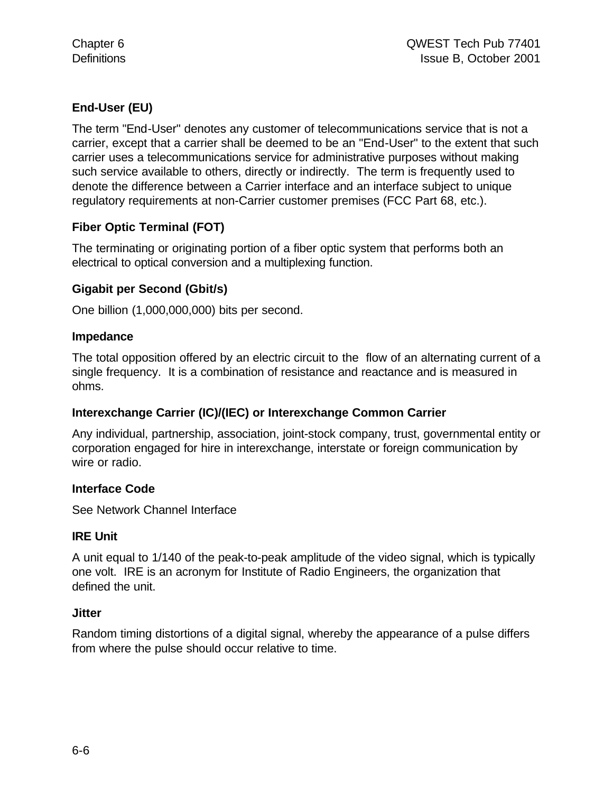#### **End-User (EU)**

The term "End-User" denotes any customer of telecommunications service that is not a carrier, except that a carrier shall be deemed to be an "End-User" to the extent that such carrier uses a telecommunications service for administrative purposes without making such service available to others, directly or indirectly. The term is frequently used to denote the difference between a Carrier interface and an interface subject to unique regulatory requirements at non-Carrier customer premises (FCC Part 68, etc.).

#### **Fiber Optic Terminal (FOT)**

The terminating or originating portion of a fiber optic system that performs both an electrical to optical conversion and a multiplexing function.

#### **Gigabit per Second (Gbit/s)**

One billion (1,000,000,000) bits per second.

#### **Impedance**

The total opposition offered by an electric circuit to the flow of an alternating current of a single frequency. It is a combination of resistance and reactance and is measured in ohms.

#### **Interexchange Carrier (IC)/(IEC) or Interexchange Common Carrier**

Any individual, partnership, association, joint-stock company, trust, governmental entity or corporation engaged for hire in interexchange, interstate or foreign communication by wire or radio.

#### **Interface Code**

See Network Channel Interface

#### **IRE Unit**

A unit equal to 1/140 of the peak-to-peak amplitude of the video signal, which is typically one volt. IRE is an acronym for Institute of Radio Engineers, the organization that defined the unit.

#### **Jitter**

Random timing distortions of a digital signal, whereby the appearance of a pulse differs from where the pulse should occur relative to time.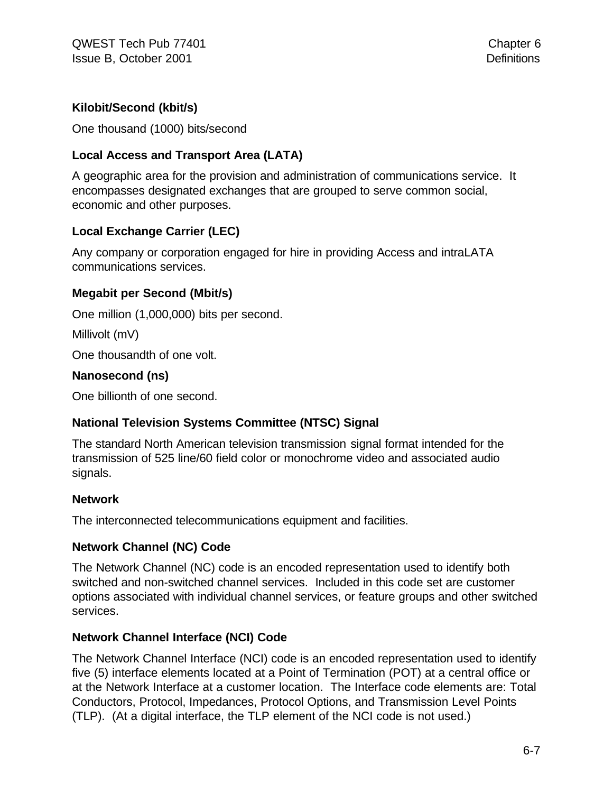#### **Kilobit/Second (kbit/s)**

One thousand (1000) bits/second

#### **Local Access and Transport Area (LATA)**

A geographic area for the provision and administration of communications service. It encompasses designated exchanges that are grouped to serve common social, economic and other purposes.

#### **Local Exchange Carrier (LEC)**

Any company or corporation engaged for hire in providing Access and intraLATA communications services.

#### **Megabit per Second (Mbit/s)**

One million (1,000,000) bits per second.

Millivolt (mV)

One thousandth of one volt.

#### **Nanosecond (ns)**

One billionth of one second.

#### **National Television Systems Committee (NTSC) Signal**

The standard North American television transmission signal format intended for the transmission of 525 line/60 field color or monochrome video and associated audio signals.

#### **Network**

The interconnected telecommunications equipment and facilities.

#### **Network Channel (NC) Code**

The Network Channel (NC) code is an encoded representation used to identify both switched and non-switched channel services. Included in this code set are customer options associated with individual channel services, or feature groups and other switched services.

#### **Network Channel Interface (NCI) Code**

The Network Channel Interface (NCI) code is an encoded representation used to identify five (5) interface elements located at a Point of Termination (POT) at a central office or at the Network Interface at a customer location. The Interface code elements are: Total Conductors, Protocol, Impedances, Protocol Options, and Transmission Level Points (TLP). (At a digital interface, the TLP element of the NCI code is not used.)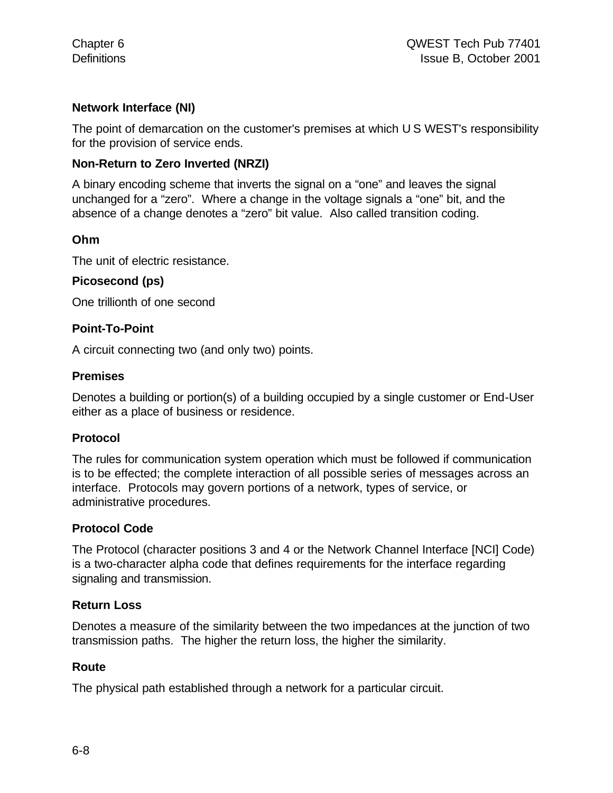#### **Network Interface (NI)**

The point of demarcation on the customer's premises at which U S WEST's responsibility for the provision of service ends.

#### **Non-Return to Zero Inverted (NRZI)**

A binary encoding scheme that inverts the signal on a "one" and leaves the signal unchanged for a "zero". Where a change in the voltage signals a "one" bit, and the absence of a change denotes a "zero" bit value. Also called transition coding.

#### **Ohm**

The unit of electric resistance.

#### **Picosecond (ps)**

One trillionth of one second

#### **Point-To-Point**

A circuit connecting two (and only two) points.

#### **Premises**

Denotes a building or portion(s) of a building occupied by a single customer or End-User either as a place of business or residence.

#### **Protocol**

The rules for communication system operation which must be followed if communication is to be effected; the complete interaction of all possible series of messages across an interface. Protocols may govern portions of a network, types of service, or administrative procedures.

#### **Protocol Code**

The Protocol (character positions 3 and 4 or the Network Channel Interface [NCI] Code) is a two-character alpha code that defines requirements for the interface regarding signaling and transmission.

#### **Return Loss**

Denotes a measure of the similarity between the two impedances at the junction of two transmission paths. The higher the return loss, the higher the similarity.

#### **Route**

The physical path established through a network for a particular circuit.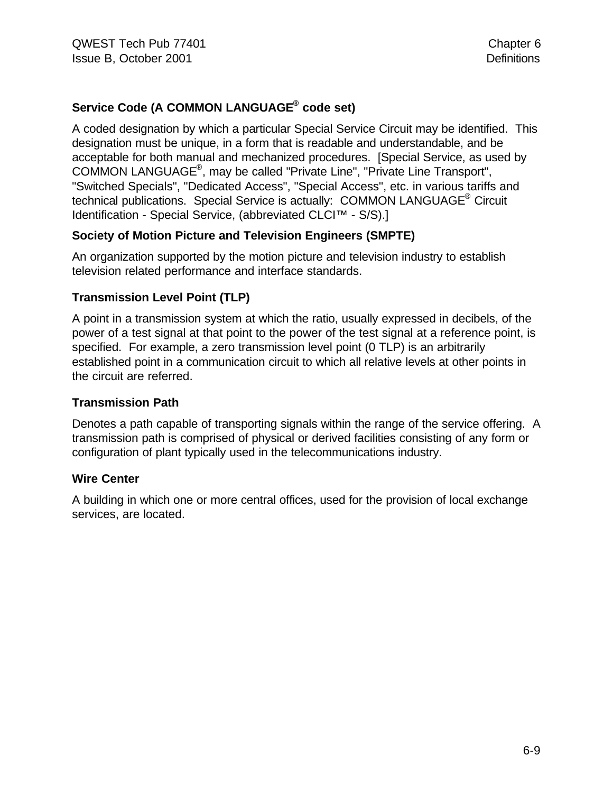#### **Service Code (A COMMON LANGUAGE® code set)**

A coded designation by which a particular Special Service Circuit may be identified. This designation must be unique, in a form that is readable and understandable, and be acceptable for both manual and mechanized procedures. [Special Service, as used by COMMON LANGUAGE® , may be called "Private Line", "Private Line Transport", "Switched Specials", "Dedicated Access", "Special Access", etc. in various tariffs and technical publications. Special Service is actually: COMMON LANGUAGE<sup>®</sup> Circuit Identification - Special Service, (abbreviated CLCI™ - S/S).]

#### **Society of Motion Picture and Television Engineers (SMPTE)**

An organization supported by the motion picture and television industry to establish television related performance and interface standards.

#### **Transmission Level Point (TLP)**

A point in a transmission system at which the ratio, usually expressed in decibels, of the power of a test signal at that point to the power of the test signal at a reference point, is specified. For example, a zero transmission level point (0 TLP) is an arbitrarily established point in a communication circuit to which all relative levels at other points in the circuit are referred.

#### **Transmission Path**

Denotes a path capable of transporting signals within the range of the service offering. A transmission path is comprised of physical or derived facilities consisting of any form or configuration of plant typically used in the telecommunications industry.

#### **Wire Center**

A building in which one or more central offices, used for the provision of local exchange services, are located.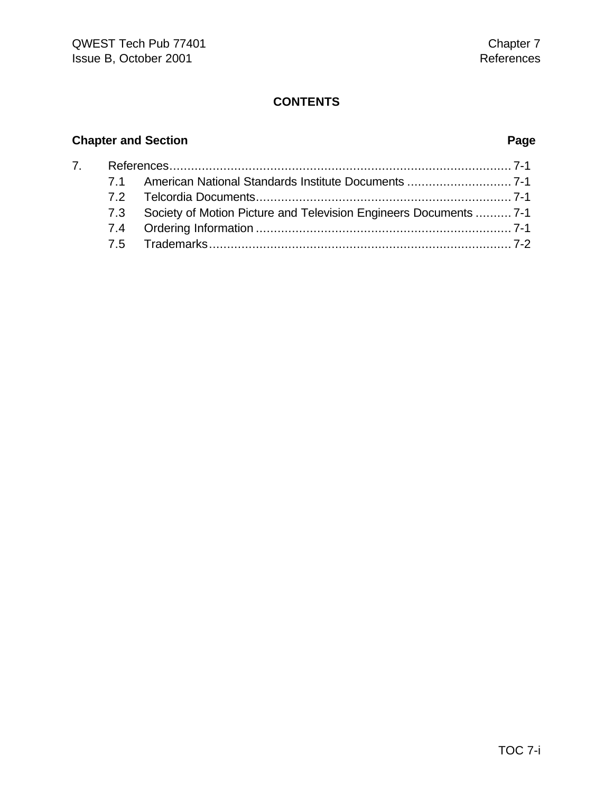# **Chapter and Section Page**

|  | 7.3 Society of Motion Picture and Television Engineers Documents  7-1 |
|--|-----------------------------------------------------------------------|
|  |                                                                       |
|  |                                                                       |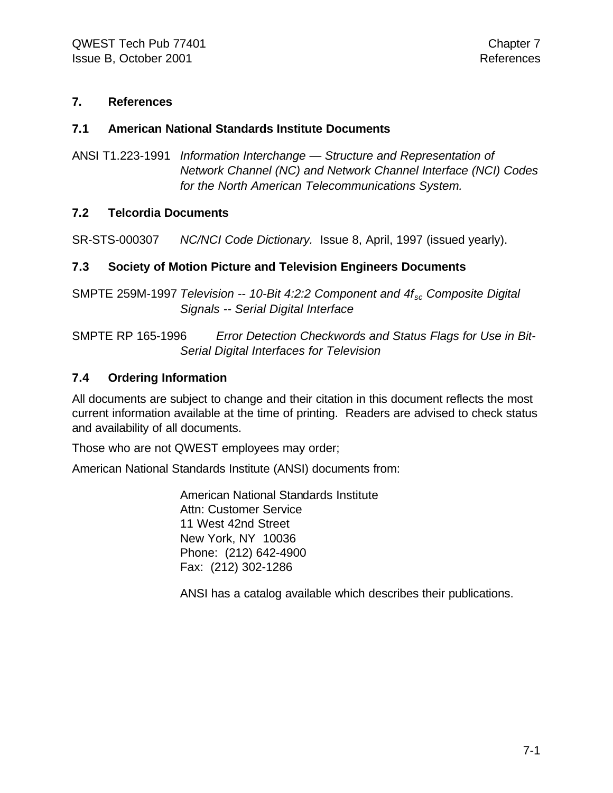#### **7. References**

#### **7.1 American National Standards Institute Documents**

ANSI T1.223-1991 *Information Interchange — Structure and Representation of Network Channel (NC) and Network Channel Interface (NCI) Codes for the North American Telecommunications System.*

#### **7.2 Telcordia Documents**

SR-STS-000307 *NC/NCI Code Dictionary.* Issue 8, April, 1997 (issued yearly).

#### **7.3 Society of Motion Picture and Television Engineers Documents**

SMPTE 259M-1997 *Television -- 10-Bit 4:2:2 Component and 4fsc Composite Digital Signals -- Serial Digital Interface*

SMPTE RP 165-1996 *Error Detection Checkwords and Status Flags for Use in Bit-Serial Digital Interfaces for Television*

#### **7.4 Ordering Information**

All documents are subject to change and their citation in this document reflects the most current information available at the time of printing. Readers are advised to check status and availability of all documents.

Those who are not QWEST employees may order;

American National Standards Institute (ANSI) documents from:

American National Standards Institute Attn: Customer Service 11 West 42nd Street New York, NY 10036 Phone: (212) 642-4900 Fax: (212) 302-1286

ANSI has a catalog available which describes their publications.